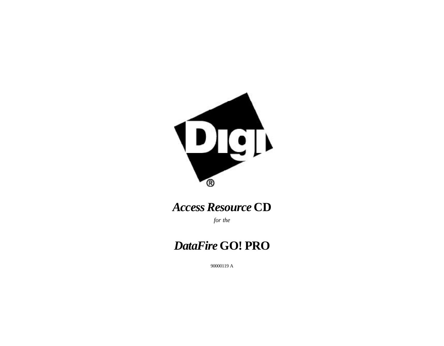

# *Access Resource* **CD**

*for the*

# *DataFire* **GO! PRO**

90000119 A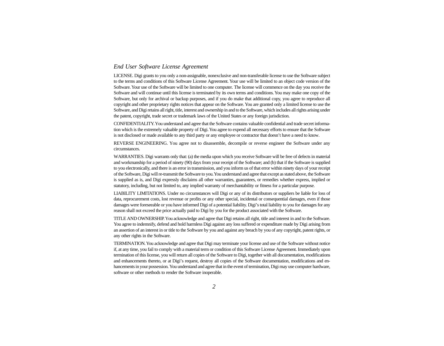### *End User Software License Agreement*

LICENSE. Digi grants to you only a non-assignable, nonexclusive and non-transferable license to use the Software subject to the terms and conditions of this Software License Agreement. Your use will be limited to an object code version of the Software. Your use of the Software will be limited to one computer. The license will commence on the day you receive the Software and will continue until this license is terminated by its own terms and conditions. You may make one copy of the Software, but only for archival or backup purposes, and if you do make that additional copy, you agree to reproduce all copyright and other proprietary rights notices that appear on the Software. You are granted only a limited license to use the Software, and Digi retains all right, title, interest and ownership in and to the Software, which includes all rights arising under the patent, copyright, trade secret or trademark laws of the United States or any foreign jurisdiction.

CONFIDENTIALITY. You understand and agree that the Software contains valuable confidential and trade secret information which is the extremely valuable property of Digi. You agree to expend all necessary efforts to ensure that the Software is not disclosed or made available to any third party or any employee or contractor that doesn't have a need to know.

REVERSE ENGINEERING. You agree not to disassemble, decompile or reverse engineer the Software under any circumstances.

WARRANTIES. Digi warrants only that: (a) the media upon which you receive Software will be free of defects in material and workmanship for a period of ninety (90) days from your receipt of the Software; and (b) that if the Software is supplied to you electronically, and there is an error in transmission, and you inform us of that error within ninety days of your receipt of the Software, Digi will re-transmit the Software to you. You understand and agree that except as stated above, the Software is supplied as is, and Digi expressly disclaims all other warranties, guarantees, or remedies whether express, implied or statutory, including, but not limited to, any implied warranty of merchantability or fitness for a particular purpose.

LIABILITY LIMITATIONS. Under no circumstances will Digi or any of its distributors or suppliers be liable for loss of data, reprocurement costs, lost revenue or profits or any other special, incidental or consequential damages, even if those damages were foreseeable or you have informed Digi of a potential liability. Digi's total liability to you for damages for any reason shall not exceed the price actually paid to Digi by you for the product associated with the Software.

TITLE AND OWNERSHIP. You acknowledge and agree that Digi retains all right, title and interest in and to the Software. You agree to indemnify, defend and hold harmless Digi against any loss suffered or expenditure made by Digi arising from an assertion of an interest in or title to the Software by you and against any breach by you of any copyright, patent rights, or any other rights in the Software.

TERMINATION. You acknowledge and agree that Digi may terminate your license and use of the Software without notice if, at any time, you fail to comply with a material term or condition of this Software License Agreement. Immediately upon termination of this license, you will return all copies of the Software to Digi, together with all documentation, modifications and enhancements thereto, or at Digi's request, destroy all copies of the Software documentation, modifications and enhancements in your possession. You understand and agree that in the event of termination, Digi may use computer hardware, software or other methods to render the Software inoperable.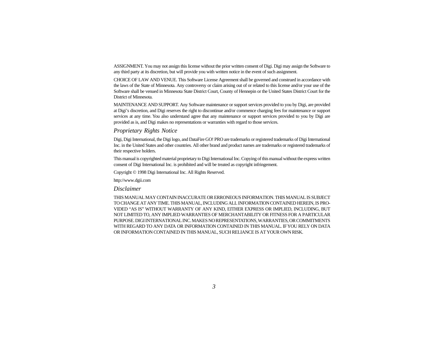ASSIGNMENT. You may not assign this license without the prior written consent of Digi. Digi may assign the Software to any third party at its discretion, but will provide you with written notice in the event of such assignment.

CHOICE OF LAW AND VENUE. This Software License Agreement shall be governed and construed in accordance with the laws of the State of Minnesota. Any controversy or claim arising out of or related to this license and/or your use of the Software shall be venued in Minnesota State District Court, County of Hennepin or the United States District Court for the District of Minnesota.

MAINTENANCE AND SUPPORT. Any Software maintenance or support services provided to you by Digi, are provided at Digi's discretion, and Digi reserves the right to discontinue and/or commence charging fees for maintenance or support services at any time. You also understand agree that any maintenance or support services provided to you by Digi are provided as is, and Digi makes no representations or warranties with regard to those services.

### *Proprietary Rights Notice*

Digi, Digi International, the Digi logo, and DataFire GO! PRO are trademarks or registered trademarks of Digi International Inc. in the United States and other countries. All other brand and product names are trademarks or registered trademarks of their respective holders.

This manual is copyrighted material proprietary to Digi International Inc. Copying of this manual without the express written consent of Digi International Inc. is prohibited and will be treated as copyright infringement.

Copyright © 1998 Digi International Inc. All Rights Reserved.

http://www.dgii.com

*Disclaimer*

THIS MANUAL MAY CONTAIN INACCURATE OR ERRONEOUS INFORMATION. THIS MANUAL IS SUBJECT TO CHANGE AT ANY TIME. THIS MANUAL, INCLUDING ALL INFORMATION CONTAINED HEREIN, IS PRO-VIDED "AS IS" WITHOUT WARRANTY OF ANY KIND, EITHER EXPRESS OR IMPLIED, INCLUDING, BUT NOT LIMITED TO, ANY IMPLIED WARRANTIES OF MERCHANTABILITY OR FITNESS FOR A PARTICULAR PURPOSE. DIGI INTERNATIONAL INC. MAKES NO REPRESENTATIONS, WARRANTIES, OR COMMITMENTS WITH REGARD TO ANY DATA OR INFORMATION CONTAINED IN THIS MANUAL. IF YOU RELY ON DATA OR INFORMATION CONTAINED IN THIS MANUAL, SUCH RELIANCE IS AT YOUR OWN RISK.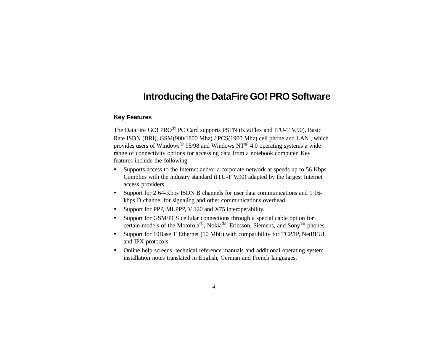## **Introducing the DataFire GO! PRO Software**

### **Key Features**

The DataFire GO! PRO® PC Card supports PSTN (K56Flex and ITU-T V.90), Basic Rate ISDN (BRI), GSM(900/1800 Mhz) / PCS(1900 Mhz) cell phone and LAN , which provides users of Windows® 95/98 and Windows NT® 4.0 operating systems a wide range of connectivity options for accessing data from a notebook computer. Key features include the following:

- ü Supports access to the Internet and/or a corporate network at speeds up to 56 Kbps. Complies with the industry standard (ITU-T V.90) adapted by the largest Internet access providers.
- ü Support for 2 64-Kbps ISDN B channels for user data communications and 1 16 kbps D channel for signaling and other communications overhead.
- Support for PPP, MLPPP, V.120 and X75 interoperability.
- ü Support for GSM/PCS cellular connections through a special cable option for certain models of the Motorola®, Nokia®, Ericsson, Siemens, and Sony™ phones.
- ü Support for 10Base T Ethernet (10 Mbit) with compatibility for TCP/IP, NetBEUI and IPX protocols.
- ü Online help screens, technical reference manuals and additional operating system installation notes translated in English, German and French languages.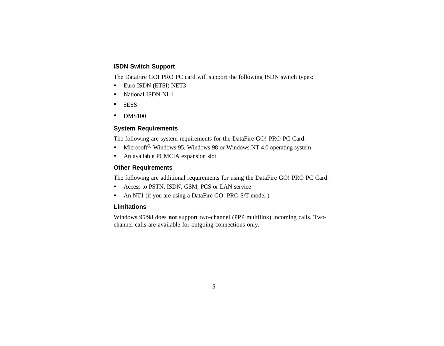### **ISDN Switch Support**

The DataFire GO! PRO PC card will support the following ISDN switch types:

- ü Euro ISDN (ETSI) NET3
- National ISDN NI-1
- 5ESS
- DMS100

### **System Requirements**

The following are system requirements for the DataFire GO! PRO PC Card:

- Microsoft<sup>®</sup> Windows 95, Windows 98 or Windows NT 4.0 operating system
- An available PCMCIA expansion slot

### **Other Requirements**

The following are additional requirements for using the DataFire GO! PRO PC Card:

- ü Access to PSTN, ISDN, GSM, PCS or LAN service
- An NT1 (if you are using a DataFire GO! PRO S/T model )

### **Limitations**

Windows 95/98 does **not** support two-channel (PPP multilink) incoming calls. Twochannel calls are available for outgoing connections only.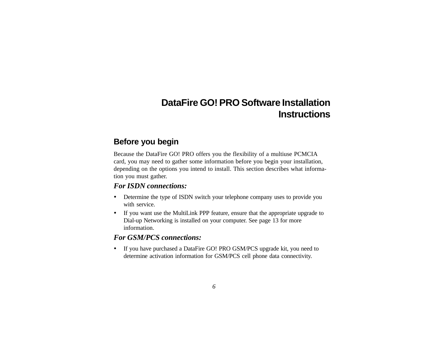## **DataFire GO! PRO Software Installation Instructions**

## **Before you begin**

Because the DataFire GO! PRO offers you the flexibility of a multiuse PCMCIA card, you may need to gather some information before you begin your installation, depending on the options you intend to install. This section describes what information you must gather.

## *For ISDN connections:*

- ü Determine the type of ISDN switch your telephone company uses to provide you with service.
- ü If you want use the MultiLink PPP feature, ensure that the appropriate upgrade to Dial-up Networking is installed on your computer. See page 13 for more information.

### *For GSM/PCS connections:*

ü If you have purchased a DataFire GO! PRO GSM/PCS upgrade kit, you need to determine activation information for GSM/PCS cell phone data connectivity.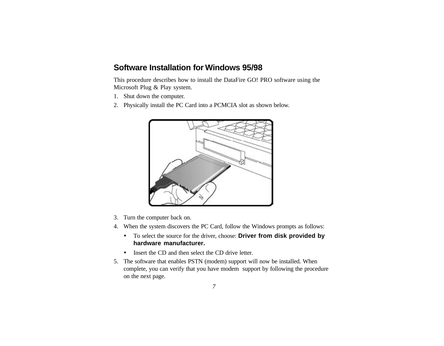## **Software Installation for Windows 95/98**

This procedure describes how to install the DataFire GO! PRO software using the Microsoft Plug & Play system.

- 1. Shut down the computer.
- 2. Physically install the PC Card into a PCMCIA slot as shown below.



- 3. Turn the computer back on.
- 4. When the system discovers the PC Card, follow the Windows prompts as follows:
	- ü To select the source for the driver, choose: **Driver from disk provided by hardware manufacturer.**
	- Insert the CD and then select the CD drive letter.
- 5. The software that enables PSTN (modem) support will now be installed. When complete, you can verify that you have modem support by following the procedure on the next page.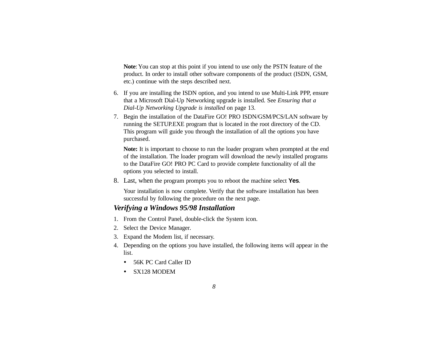**Note**: You can stop at this point if you intend to use only the PSTN feature of the product. In order to install other software components of the product (ISDN, GSM, etc.) continue with the steps described next.

- 6. If you are installing the ISDN option, and you intend to use Multi-Link PPP, ensure that a Microsoft Dial-Up Networking upgrade is installed. See *Ensuring that a Dial-Up Networking Upgrade is installed* on page 13.
- 7. Begin the installation of the DataFire GO! PRO ISDN/GSM/PCS/LAN software by running the SETUP.EXE program that is located in the root directory of the CD. This program will guide you through the installation of all the options you have purchased.

**Note:** It is important to choose to run the loader program when prompted at the end of the installation. The loader program will download the newly installed programs to the DataFire GO! PRO PC Card to provide complete functionality of all the options you selected to install.

8. Last, when the program prompts you to reboot the machine select **Yes**.

Your installation is now complete. Verify that the software installation has been successful by following the procedure on the next page.

## *Verifying a Windows 95/98 Installation*

- 1. From the Control Panel, double-click the System icon.
- 2. Select the Device Manager.
- 3. Expand the Modem list, if necessary.
- 4. Depending on the options you have installed, the following items will appear in the list.
	- 56K PC Card Caller ID
	- SX128 MODEM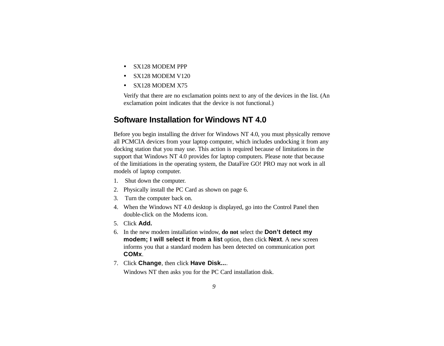- SX128 MODEM PPP
- ü SX128 MODEM V120
- SX128 MODEM X75

Verify that there are no exclamation points next to any of the devices in the list. (An exclamation point indicates that the device is not functional.)

## **Software Installation for Windows NT 4.0**

Before you begin installing the driver for Windows NT 4.0, you must physically remove all PCMCIA devices from your laptop computer, which includes undocking it from any docking station that you may use. This action is required because of limitations in the support that Windows NT 4.0 provides for laptop computers. Please note that because of the limitiations in the operating system, the DataFire GO! PRO may not work in all models of laptop computer.

- 1. Shut down the computer.
- 2. Physically install the PC Card as shown on page 6.
- 3. Turn the computer back on.
- 4. When the Windows NT 4.0 desktop is displayed, go into the Control Panel then double-click on the Modems icon.
- 5. Click **Add.**
- 6. In the new modem installation window, **do not** select the **Don't detect my modem; I will select it from a list** option, then click **Next**. A new screen informs you that a standard modem has been detected on communication port **COMx**.
- 7. Click **Change**, then click **Have Disk...**.

Windows NT then asks you for the PC Card installation disk.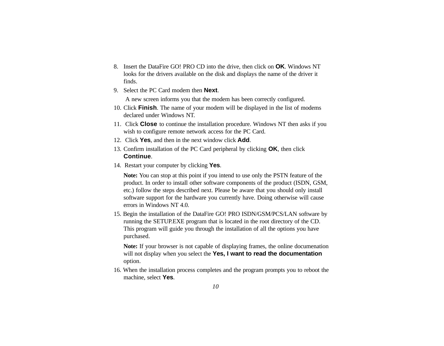- 8. Insert the DataFire GO! PRO CD into the drive, then click on **OK**. Windows NT looks for the drivers available on the disk and displays the name of the driver it finds.
- 9. Select the PC Card modem then **Next**.

A new screen informs you that the modem has been correctly configured.

- 10. Click **Finish**. The name of your modem will be displayed in the list of modems declared under Windows NT.
- 11. Click **Close** to continue the installation procedure. Windows NT then asks if you wish to configure remote network access for the PC Card.
- 12. Click **Yes**, and then in the next window click **Add**.
- 13. Confirm installation of the PC Card peripheral by clicking **OK**, then click **Continue**.
- 14. Restart your computer by clicking **Yes**.

**Note:** You can stop at this point if you intend to use only the PSTN feature of the product. In order to install other software components of the product (ISDN, GSM, etc.) follow the steps described next. Please be aware that you should only install software support for the hardware you currently have. Doing otherwise will cause errors in Windows NT 4.0.

15. Begin the installation of the DataFire GO! PRO ISDN/GSM/PCS/LAN software by running the SETUP.EXE program that is located in the root directory of the CD. This program will guide you through the installation of all the options you have purchased.

**Note:** If your browser is not capable of displaying frames, the online documenation will not display when you select the **Yes, I want to read the documentation** option.

16. When the installation process completes and the program prompts you to reboot the machine, select **Yes**.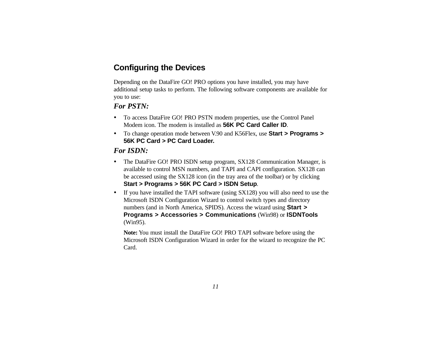## **Configuring the Devices**

Depending on the DataFire GO! PRO options you have installed, you may have additional setup tasks to perform. The following software components are available for you to use:

## *For PSTN:*

- ü To access DataFire GO! PRO PSTN modem properties, use the Control Panel Modem icon. The modem is installed as **56K PC Card Caller ID**.
- ü To change operation mode between V.90 and K56Flex, use **Start > Programs > 56K PC Card > PC Card Loader.**

### *For ISDN:*

- The DataFire GO! PRO ISDN setup program, SX128 Communication Manager, is available to control MSN numbers, and TAPI and CAPI configuration. SX128 can be accessed using the SX128 icon (in the tray area of the toolbar) or by clicking **Start > Programs > 56K PC Card > ISDN Setup**.
- ü If you have installed the TAPI software (using SX128) you will also need to use the Microsoft ISDN Configuration Wizard to control switch types and directory numbers (and in North America, SPIDS). Access the wizard using **Start > Programs > Accessories > Communications** (Win98) or **ISDNTools** (Win95).

**Note:** You must install the DataFire GO! PRO TAPI software before using the Microsoft ISDN Configuration Wizard in order for the wizard to recognize the PC Card.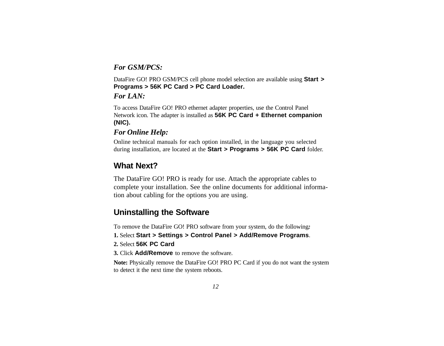## *For GSM/PCS:*

DataFire GO! PRO GSM/PCS cell phone model selection are available using **Start > Programs > 56K PC Card > PC Card Loader.**

*For LAN:*

To access DataFire GO! PRO ethernet adapter properties, use the Control Panel Network icon. The adapter is installed as **56K PC Card + Ethernet companion (NIC).**

## *For Online Help:*

Online technical manuals for each option installed, in the language you selected during installation, are located at the **Start > Programs > 56K PC Card** folder.

## **What Next?**

The DataFire GO! PRO is ready for use. Attach the appropriate cables to complete your installation. See the online documents for additional information about cabling for the options you are using.

## **Uninstalling the Software**

To remove the DataFire GO! PRO software from your system, do the following*:*

- **1.** Select **Start > Settings > Control Panel > Add/Remove Programs**.
- **2.** Select **56K PC Card**
- **3.** Click **Add/Remove** to remove the software.

**Note:** Physically remove the DataFire GO! PRO PC Card if you do not want the system to detect it the next time the system reboots.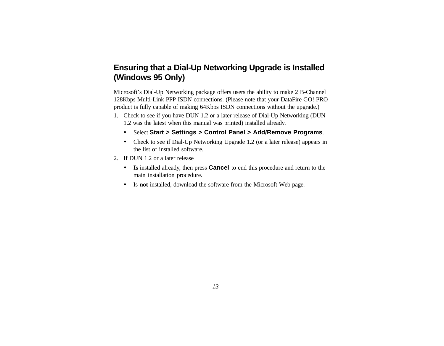## **Ensuring that a Dial-Up Networking Upgrade is Installed (Windows 95 Only)**

Microsoft's Dial-Up Networking package offers users the ability to make 2 B-Channel 128Kbps Multi-Link PPP ISDN connections. (Please note that your DataFire GO! PRO product is fully capable of making 64Kbps ISDN connections without the upgrade.)

- 1. Check to see if you have DUN 1.2 or a later release of Dial-Up Networking (DUN 1.2 was the latest when this manual was printed) installed already.
	- ü Select **Start > Settings > Control Panel > Add/Remove Programs**.
	- Check to see if Dial-Up Networking Upgrade 1.2 (or a later release) appears in the list of installed software.
- 2. If DUN 1.2 or a later release
	- ü **Is** installed already, then press **Cancel** to end this procedure and return to the main installation procedure.
	- ü Is **not** installed, download the software from the Microsoft Web page.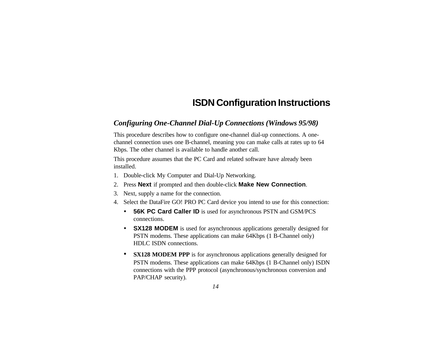## **ISDN Configuration Instructions**

## *Configuring One-Channel Dial-Up Connections (Windows 95/98)*

This procedure describes how to configure one-channel dial-up connections. A onechannel connection uses one B-channel, meaning you can make calls at rates up to 64 Kbps. The other channel is available to handle another call.

This procedure assumes that the PC Card and related software have already been installed.

- 1. Double-click My Computer and Dial-Up Networking.
- 2. Press **Next** if prompted and then double-click **Make New Connection**.
- 3. Next, supply a name for the connection.
- 4. Select the DataFire GO! PRO PC Card device you intend to use for this connection:
	- ü **56K PC Card Caller ID** is used for asynchronous PSTN and GSM/PCS connections.
	- ü **SX128 MODEM** is used for asynchronous applications generally designed for PSTN modems. These applications can make 64Kbps (1 B-Channel only) HDLC ISDN connections.
	- **SX128 MODEM PPP** is for asynchronous applications generally designed for PSTN modems. These applications can make 64Kbps (1 B-Channel only) ISDN connections with the PPP protocol (asynchronous/synchronous conversion and PAP/CHAP security).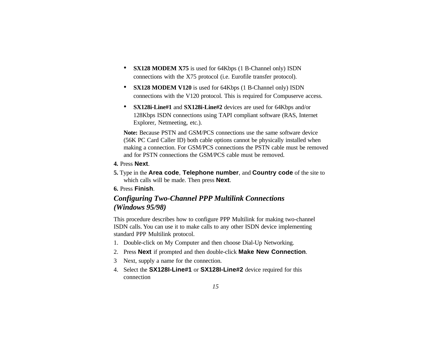- **SX128 MODEM X75** is used for 64Kbps (1 B-Channel only) ISDN connections with the X75 protocol (i.e. Eurofile transfer protocol).
- **SX128 MODEM V120** is used for 64Kbps (1 B-Channel only) ISDN connections with the V120 protocol. This is required for Compuserve access.
- **SX128i-Line#1** and **SX128i-Line#2** devices are used for 64Kbps and/or 128Kbps ISDN connections using TAPI compliant software (RAS, Internet Explorer, Netmeeting, etc.).

**Note:** Because PSTN and GSM/PCS connections use the same software device (56K PC Card Caller ID) both cable options cannot be physically installed when making a connection. For GSM/PCS connections the PSTN cable must be removed and for PSTN connections the GSM/PCS cable must be removed.

- **4.** Press **Next**.
- **5.** Type in the **Area code**, **Telephone number**, and **Country code** of the site to which calls will be made. Then press **Next**.
- **6.** Press **Finish**.

## *Configuring Two-Channel PPP Multilink Connections (Windows 95/98)*

This procedure describes how to configure PPP Multilink for making two-channel ISDN calls. You can use it to make calls to any other ISDN device implementing standard PPP Multilink protocol.

- 1. Double-click on My Computer and then choose Dial-Up Networking.
- 2. Press **Next** if prompted and then double-click **Make New Connection**.
- 3 Next, supply a name for the connection.
- 4. Select the **SX128I-Line#1** or **SX128I-Line#2** device required for this connection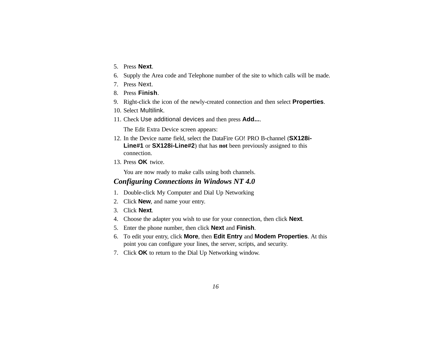- 5. Press **Next**.
- 6. Supply the Area code and Telephone number of the site to which calls will be made.
- 7. Press Next.
- 8. Press **Finish**.
- 9. Right-click the icon of the newly-created connection and then select **Properties**.
- 10. Select Multilink.
- 11. Check Use additional devices and then press **Add...**.

The Edit Extra Device screen appears:

- 12. In the Device name field, select the DataFire GO! PRO B-channel (**SX128i-Line#1** or **SX128i-Line#2**) that has **not** been previously assigned to this connection.
- 13. Press **OK** twice.

You are now ready to make calls using both channels.

### *Configuring Connections in Windows NT 4.0*

- 1. Double-click My Computer and Dial Up Networking
- 2. Click **New**, and name your entry.
- 3. Click **Next**.
- 4. Choose the adapter you wish to use for your connection, then click **Next**.
- 5. Enter the phone number, then click **Next** and **Finish**.
- 6. To edit your entry, click **More**, then **Edit Entry** and **Modem Properties**. At this point you can configure your lines, the server, scripts, and security.
- 7. Click **OK** to return to the Dial Up Networking window.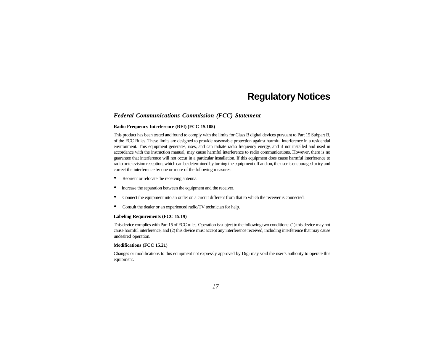## **Regulatory Notices**

### *Federal Communications Commission (FCC) Statement*

#### **Radio Frequency Interference (RFI) (FCC 15.105)**

This product has been tested and found to comply with the limits for Class B digital devices pursuant to Part 15 Subpart B, of the FCC Rules. These limits are designed to provide reasonable protection against harmful interference in a residential environment. This equipment generates, uses, and can radiate radio frequency energy, and if not installed and used in accordance with the instruction manual, may cause harmful interference to radio communications. However, there is no guarantee that interference will not occur in a particular installation. If this equipment does cause harmful interference to radio or television reception, which can be determined by turning the equipment off and on, the user is encouraged to try and correct the interference by one or more of the following measures:

- ü Reorient or relocate the receiving antenna.
- Increase the separation between the equipment and the receiver.
- ü Connect the equipment into an outlet on a circuit different from that to which the receiver is connected.
- Consult the dealer or an experienced radio/TV technician for help.

#### **Labeling Requirements (FCC 15.19)**

This device complies with Part 15 of FCC rules. Operation is subject to the following two conditions: (1) this device may not cause harmful interference, and (2) this device must accept any interference received, including interference that may cause undesired operation.

#### **Modifications (FCC 15.21)**

Changes or modifications to this equipment not expressly approved by Digi may void the user's authority to operate this equipment.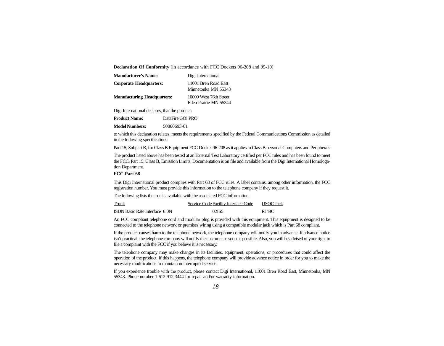**Declaration Of Conformity** (in accordance with FCC Dockets 96-208 and 95-19)

| <b>Manufacturer's Name:</b>        | Digi International                              |
|------------------------------------|-------------------------------------------------|
| <b>Corporate Headquarters:</b>     | 11001 Bren Road East<br>Minnetonka MN 55343     |
| <b>Manufacturing Headquarters:</b> | 10000 West 76th Street<br>Eden Prairie MN 55344 |
|                                    |                                                 |

Digi International declares, that the product:

| <b>Product Name:</b>  | DataFire GO! PRO |
|-----------------------|------------------|
| <b>Model Numbers:</b> | 50000693-01      |

to which this declaration relates, meets the requirements specified by the Federal Communications Commission as detailed in the following specifications:

Part 15, Subpart B, for Class B Equipment FCC Docket 96-208 as it applies to Class B personal Computers and Peripherals

The product listed above has been tested at an External Test Laboratory certified per FCC rules and has been found to meet the FCC, Part 15, Class B, Emission Limits. Documentation is on file and available from the Digi International Homologation Department.

#### **FCC Part 68**

This Digi International product complies with Part 68 of FCC rules. A label contains, among other information, the FCC registration number. You must provide this information to the telephone company if they request it.

The following lists the trunks available with the associated FCC information:

| Trunk                                 | Service Code Facility Interface Code | <b>USOC</b> Jack |
|---------------------------------------|--------------------------------------|------------------|
| <b>ISDN</b> Basic Rate Interface 6.0N | 02IS5                                | RJ49C            |

An FCC compliant telephone cord and modular plug is provided with this equipment. This equipment is designed to be connected to the telephone network or premises wiring using a compatible modular jack which is Part 68 compliant.

If the product causes harm to the telephone network, the telephone company will notify you in advance. If advance notice isn't practical, the telephone company will notify the customer as soon as possible. Also, you will be advised of your right to file a complaint with the FCC if you believe it is necessary.

The telephone company may make changes in its facilities, equipment, operations, or procedures that could affect the operation of the product. If this happens, the telephone company will provide advance notice in order for you to make the necessary modifications to maintain uninterrupted service.

If you experience trouble with the product, please contact Digi International, 11001 Bren Road East, Minnetonka, MN 55343. Phone number 1-612-912-3444 for repair and/or warranty information.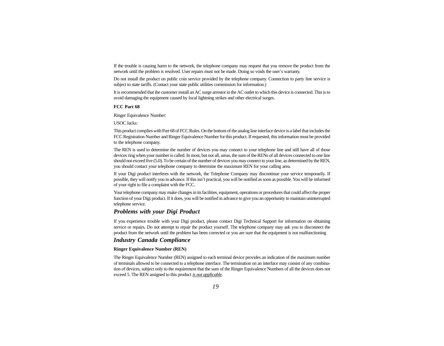If the trouble is causing harm to the network, the telephone company may request that you remove the product from the network until the problem is resolved. User repairs must not be made. Doing so voids the user's warranty.

Do not install the product on public coin service provided by the telephone company. Connection to party line service is subject to state tariffs. (Contact your state public utilities commission for information.)

It is recommended that the customer install an AC surge arrestor in the AC outlet to which this device is connected. This is to avoid damaging the equipment caused by local lightning strikes and other electrical surges.

#### **FCC Part 68**

Ringer Equivalence Number:

USOC Jacks:

This product complies with Part 68 of FCC Rules. On the bottom of the analog line interface device is a label that includes the FCC Registration Number and Ringer Equivalence Number for this product. If requested, this information must be provided to the telephone company.

The REN is used to determine the number of devices you may connect to your telephone line and still have all of those devices ring when your number is called. In most, but not all, areas, the sum of the RENs of all devices connected to one line should not exceed five (5.0). To be certain of the number of devices you may connect to your line, as determined by the REN, you should contact your telephone company to determine the maximum REN for your calling area.

If your Digi product interferes with the network, the Telephone Company may discontinue your service temporarily. If possible, they will notify you in advance. If this isn't practical, you will be notified as soon as possible. You will be informed of your right to file a complaint with the FCC.

Your telephone company may make changes in its facilities, equipment, operations or procedures that could affect the proper function of your Digi product. If it does, you will be notified in advance to give you an opportunity to maintain uninterrupted telephone service.

### *Problems with your Digi Product*

If you experience trouble with your Digi product, please contact Digi Technical Support for information on obtaining service or repairs. Do not attempt to repair the product yourself. The telephone company may ask you to disconnect the product from the network until the problem has been corrected or you are sure that the equipment is not malfunctioning

### *Industry Canada Compliance*

#### **Ringer Equivalence Number (REN)**

The Ringer Equivalence Number (REN) assigned to each terminal device provides an indication of the maximum number of terminals allowed to be connected to a telephone interface. The termination on an interface may consist of any combination of devices, subject only to the requirement that the sum of the Ringer Equivalence Numbers of all the devices does not exceed 5. The REN assigned to this product *is not applicable*.